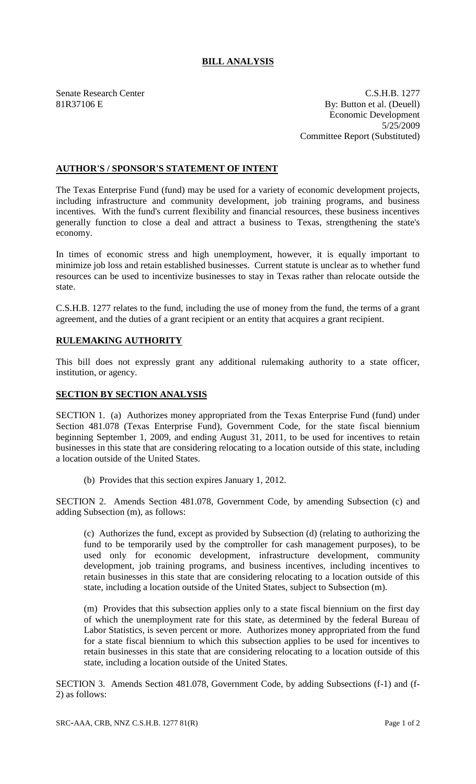## **BILL ANALYSIS**

Senate Research Center C.S.H.B. 1277 81R37106 E By: Button et al. (Deuell) Economic Development 5/25/2009 Committee Report (Substituted)

## **AUTHOR'S / SPONSOR'S STATEMENT OF INTENT**

The Texas Enterprise Fund (fund) may be used for a variety of economic development projects, including infrastructure and community development, job training programs, and business incentives. With the fund's current flexibility and financial resources, these business incentives generally function to close a deal and attract a business to Texas, strengthening the state's economy.

In times of economic stress and high unemployment, however, it is equally important to minimize job loss and retain established businesses. Current statute is unclear as to whether fund resources can be used to incentivize businesses to stay in Texas rather than relocate outside the state.

C.S.H.B. 1277 relates to the fund, including the use of money from the fund, the terms of a grant agreement, and the duties of a grant recipient or an entity that acquires a grant recipient.

## **RULEMAKING AUTHORITY**

This bill does not expressly grant any additional rulemaking authority to a state officer, institution, or agency.

## **SECTION BY SECTION ANALYSIS**

SECTION 1. (a) Authorizes money appropriated from the Texas Enterprise Fund (fund) under Section 481.078 (Texas Enterprise Fund), Government Code, for the state fiscal biennium beginning September 1, 2009, and ending August 31, 2011, to be used for incentives to retain businesses in this state that are considering relocating to a location outside of this state, including a location outside of the United States.

(b) Provides that this section expires January 1, 2012.

SECTION 2. Amends Section 481.078, Government Code, by amending Subsection (c) and adding Subsection (m), as follows:

(c) Authorizes the fund, except as provided by Subsection (d) (relating to authorizing the fund to be temporarily used by the comptroller for cash management purposes), to be used only for economic development, infrastructure development, community development, job training programs, and business incentives, including incentives to retain businesses in this state that are considering relocating to a location outside of this state, including a location outside of the United States, subject to Subsection (m).

(m) Provides that this subsection applies only to a state fiscal biennium on the first day of which the unemployment rate for this state, as determined by the federal Bureau of Labor Statistics, is seven percent or more. Authorizes money appropriated from the fund for a state fiscal biennium to which this subsection applies to be used for incentives to retain businesses in this state that are considering relocating to a location outside of this state, including a location outside of the United States.

SECTION 3. Amends Section 481.078, Government Code, by adding Subsections (f-1) and (f-2) as follows: